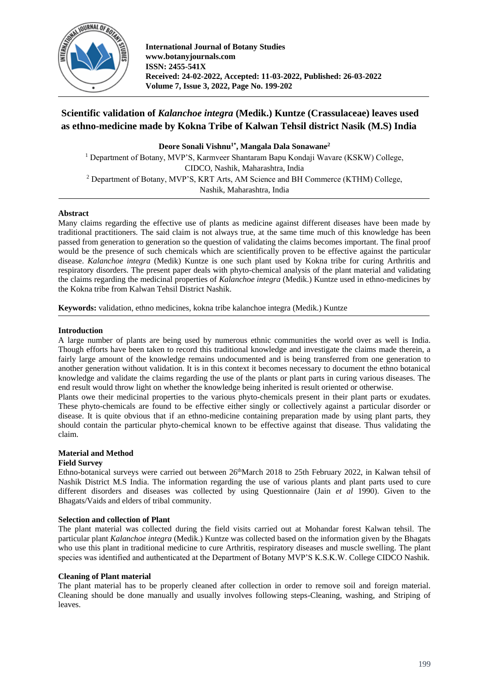

**International Journal of Botany Studies www.botanyjournals.com ISSN: 2455-541X Received: 24-02-2022, Accepted: 11-03-2022, Published: 26-03-2022 Volume 7, Issue 3, 2022, Page No. 199-202**

# **Scientific validation of** *Kalanchoe integra* **(Medik.) Kuntze (Crassulaceae) leaves used as ethno-medicine made by Kokna Tribe of Kalwan Tehsil district Nasik (M.S) India**

**Deore Sonali Vishnu1\*, Mangala Dala Sonawane<sup>2</sup>**

<sup>1</sup> Department of Botany, MVP'S, Karmveer Shantaram Bapu Kondaji Wavare (KSKW) College, CIDCO, Nashik, Maharashtra, India <sup>2</sup> Department of Botany, MVP'S, KRT Arts, AM Science and BH Commerce (KTHM) College, Nashik, Maharashtra, India

# **Abstract**

Many claims regarding the effective use of plants as medicine against different diseases have been made by traditional practitioners. The said claim is not always true, at the same time much of this knowledge has been passed from generation to generation so the question of validating the claims becomes important. The final proof would be the presence of such chemicals which are scientifically proven to be effective against the particular disease. *Kalanchoe integra* (Medik) Kuntze is one such plant used by Kokna tribe for curing Arthritis and respiratory disorders. The present paper deals with phyto-chemical analysis of the plant material and validating the claims regarding the medicinal properties of *Kalanchoe integra* (Medik.) Kuntze used in ethno-medicines by the Kokna tribe from Kalwan Tehsil District Nashik.

**Keywords:** validation, ethno medicines, kokna tribe kalanchoe integra (Medik.) Kuntze

# **Introduction**

A large number of plants are being used by numerous ethnic communities the world over as well is India. Though efforts have been taken to record this traditional knowledge and investigate the claims made therein, a fairly large amount of the knowledge remains undocumented and is being transferred from one generation to another generation without validation. It is in this context it becomes necessary to document the ethno botanical knowledge and validate the claims regarding the use of the plants or plant parts in curing various diseases. The end result would throw light on whether the knowledge being inherited is result oriented or otherwise.

Plants owe their medicinal properties to the various phyto-chemicals present in their plant parts or exudates. These phyto-chemicals are found to be effective either singly or collectively against a particular disorder or disease. It is quite obvious that if an ethno-medicine containing preparation made by using plant parts, they should contain the particular phyto-chemical known to be effective against that disease. Thus validating the claim.

# **Material and Method**

# **Field Survey**

Ethno-botanical surveys were carried out between 26<sup>th</sup>March 2018 to 25th February 2022, in Kalwan tehsil of Nashik District M.S India. The information regarding the use of various plants and plant parts used to cure different disorders and diseases was collected by using Questionnaire (Jain *et al* 1990). Given to the Bhagats/Vaids and elders of tribal community.

# **Selection and collection of Plant**

The plant material was collected during the field visits carried out at Mohandar forest Kalwan tehsil. The particular plant *Kalanchoe integra* (Medik.) Kuntze was collected based on the information given by the Bhagats who use this plant in traditional medicine to cure Arthritis, respiratory diseases and muscle swelling. The plant species was identified and authenticated at the Department of Botany MVP'S K.S.K.W. College CIDCO Nashik.

# **Cleaning of Plant material**

The plant material has to be properly cleaned after collection in order to remove soil and foreign material. Cleaning should be done manually and usually involves following steps-Cleaning, washing, and Striping of leaves.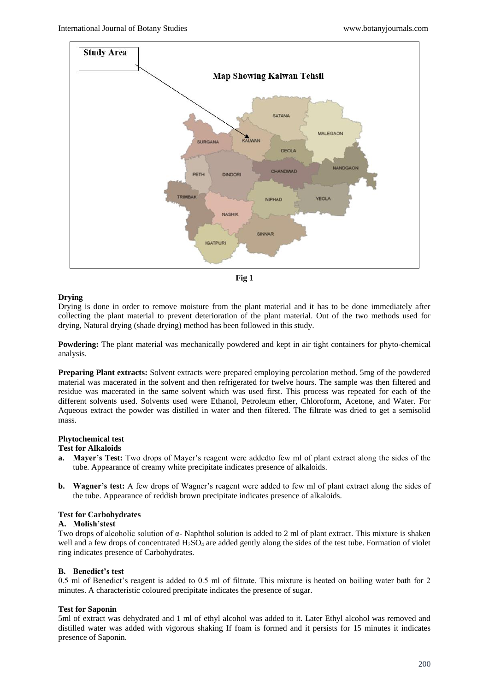



## **Drying**

Drying is done in order to remove moisture from the plant material and it has to be done immediately after collecting the plant material to prevent deterioration of the plant material. Out of the two methods used for drying, Natural drying (shade drying) method has been followed in this study.

**Powdering:** The plant material was mechanically powdered and kept in air tight containers for phyto-chemical analysis.

**Preparing Plant extracts:** Solvent extracts were prepared employing percolation method. 5mg of the powdered material was macerated in the solvent and then refrigerated for twelve hours. The sample was then filtered and residue was macerated in the same solvent which was used first. This process was repeated for each of the different solvents used. Solvents used were Ethanol, Petroleum ether, Chloroform, Acetone, and Water. For Aqueous extract the powder was distilled in water and then filtered. The filtrate was dried to get a semisolid mass.

# **Phytochemical test**

#### **Test for Alkaloids**

- **a. Mayer's Test:** Two drops of Mayer's reagent were addedto few ml of plant extract along the sides of the tube. Appearance of creamy white precipitate indicates presence of alkaloids.
- **b. Wagner's test:** A few drops of Wagner's reagent were added to few ml of plant extract along the sides of the tube. Appearance of reddish brown precipitate indicates presence of alkaloids.

#### **Test for Carbohydrates**

#### **A. Molish'stest**

Two drops of alcoholic solution of α- Naphthol solution is added to 2 ml of plant extract. This mixture is shaken well and a few drops of concentrated  $H_2SO_4$  are added gently along the sides of the test tube. Formation of violet ring indicates presence of Carbohydrates.

#### **B. Benedict's test**

0.5 ml of Benedict's reagent is added to 0.5 ml of filtrate. This mixture is heated on boiling water bath for 2 minutes. A characteristic coloured precipitate indicates the presence of sugar.

#### **Test for Saponin**

5ml of extract was dehydrated and 1 ml of ethyl alcohol was added to it. Later Ethyl alcohol was removed and distilled water was added with vigorous shaking If foam is formed and it persists for 15 minutes it indicates presence of Saponin.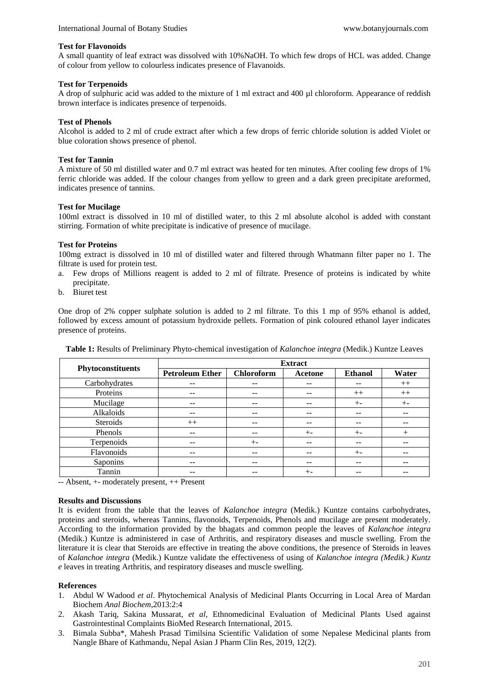#### **Test for Flavonoids**

A small quantity of leaf extract was dissolved with 10%NaOH. To which few drops of HCL was added. Change of colour from yellow to colourless indicates presence of Flavanoids.

## **Test for Terpenoids**

A drop of sulphuric acid was added to the mixture of 1 ml extract and 400 µl chloroform. Appearance of reddish brown interface is indicates presence of terpenoids.

## **Test of Phenols**

Alcohol is added to 2 ml of crude extract after which a few drops of ferric chloride solution is added Violet or blue coloration shows presence of phenol.

## **Test for Tannin**

A mixture of 50 ml distilled water and 0.7 ml extract was heated for ten minutes. After cooling few drops of 1% ferric chloride was added. If the colour changes from yellow to green and a dark green precipitate areformed, indicates presence of tannins.

## **Test for Mucilage**

100ml extract is dissolved in 10 ml of distilled water, to this 2 ml absolute alcohol is added with constant stirring. Formation of white precipitate is indicative of presence of mucilage.

## **Test for Proteins**

100mg extract is dissolved in 10 ml of distilled water and filtered through Whatmann filter paper no 1. The filtrate is used for protein test.

- a. Few drops of Millions reagent is added to 2 ml of filtrate. Presence of proteins is indicated by white precipitate.
- b. Biuret test

One drop of 2% copper sulphate solution is added to 2 ml filtrate. To this 1 mp of 95% ethanol is added, followed by excess amount of potassium hydroxide pellets. Formation of pink coloured ethanol layer indicates presence of proteins.

| Phytoconstituents | <b>Extract</b>         |                   |                   |                   |       |
|-------------------|------------------------|-------------------|-------------------|-------------------|-------|
|                   | <b>Petroleum Ether</b> | <b>Chloroform</b> | Acetone           | <b>Ethanol</b>    | Water |
| Carbohydrates     | --                     | --                | $- -$             | $\qquad \qquad -$ | $++$  |
| Proteins          | --                     |                   | --                | $++$              | $++$  |
| Mucilage          |                        |                   | --                | $+ -$             | $+ -$ |
| Alkaloids         | --                     | --                | --                | --                |       |
| Steroids          | $++$                   | --                | --                | --                |       |
| Phenols           | --                     | --                | $+ -$             | $+ -$             | $^+$  |
| Terpenoids        | --                     | $+ -$             | --                | --                |       |
| Flavonoids        | $- -$                  | --                | $\qquad \qquad -$ | $+ -$             | --    |
| Saponins          | $- -$                  | --                | $- -$             | $- -$             | --    |
| Tannin            |                        | --                | $+ -$             | --                |       |

**Table 1:** Results of Preliminary Phyto-chemical investigation of *Kalanchoe integra* (Medik.) Kuntze Leaves

-- Absent, +- moderately present, ++ Present

#### **Results and Discussions**

It is evident from the table that the leaves of *Kalanchoe integra* (Medik.) Kuntze contains carbohydrates, proteins and steroids, whereas Tannins, flavonoids, Terpenoids, Phenols and mucilage are present moderately. According to the information provided by the bhagats and common people the leaves of *Kalanchoe integra*  (Medik.) Kuntze is administered in case of Arthritis, and respiratory diseases and muscle swelling. From the literature it is clear that Steroids are effective in treating the above conditions, the presence of Steroids in leaves of *Kalanchoe integra* (Medik.) Kuntze validate the effectiveness of using of *Kalanchoe integra (Medik.) Kuntz e* leaves in treating Arthritis, and respiratory diseases and muscle swelling.

#### **References**

- 1. Abdul W Wadood *et al*. Phytochemical Analysis of Medicinal Plants Occurring in Local Area of Mardan Biochem *Anal Biochem*,2013:2:4
- 2. Akash Tariq, Sakina Mussarat, *et al*, Ethnomedicinal Evaluation of Medicinal Plants Used against Gastrointestinal Complaints BioMed Research International, 2015.
- 3. Bimala Subba\*, Mahesh Prasad Timilsina Scientific Validation of some Nepalese Medicinal plants from Nangle Bhare of Kathmandu, Nepal Asian J Pharm Clin Res, 2019, 12(2).